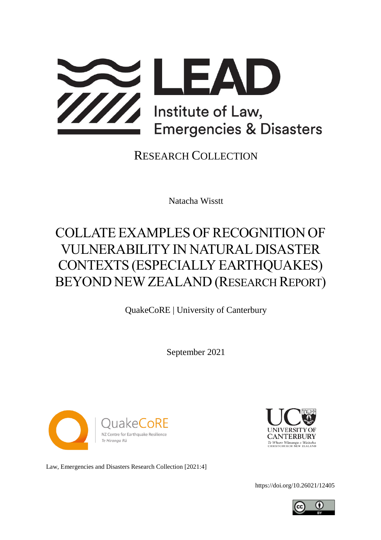

### RESEARCH COLLECTION

Natacha Wisstt

# COLLATE EXAMPLES OF RECOGNITION OF VULNERABILITY IN NATURAL DISASTER CONTEXTS (ESPECIALLY EARTHQUAKES) BEYOND NEW ZEALAND (RESEARCH REPORT)

QuakeCoRE | University of Canterbury

September 2021





Law, Emergencies and Disasters Research Collection [2021:4]

<https://doi.org/10.26021/12405>

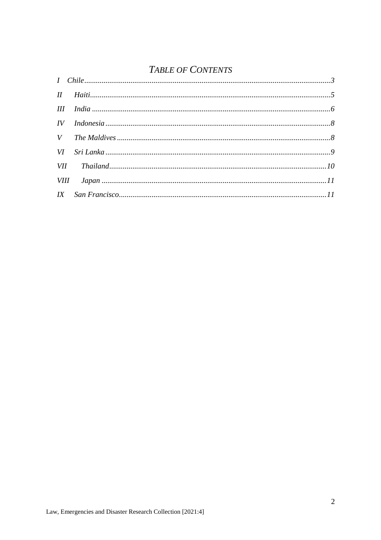### TABLE OF CONTENTS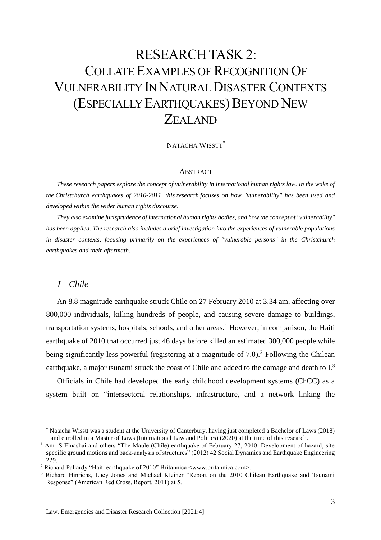## RESEARCH TASK 2: COLLATE EXAMPLES OF RECOGNITION OF VULNERABILITY IN NATURAL DISASTER CONTEXTS (ESPECIALLY EARTHQUAKES) BEYOND NEW ZEALAND

#### NATACHA WISSTT\*

#### ABSTRACT

*These research papers explore the concept of vulnerability in international human rights law. In the wake of the Christchurch earthquakes of 2010-2011, this research focuses on how "vulnerability" has been used and developed within the wider human rights discourse.* 

*They also examine jurisprudence of international human rights bodies, and how the concept of "vulnerability" has been applied. The research also includes a brief investigation into the experiences of vulnerable populations in disaster contexts, focusing primarily on the experiences of "vulnerable persons" in the Christchurch earthquakes and their aftermath.*

#### <span id="page-2-0"></span>*I Chile*

An 8.8 magnitude earthquake struck Chile on 27 February 2010 at 3.34 am, affecting over 800,000 individuals, killing hundreds of people, and causing severe damage to buildings, transportation systems, hospitals, schools, and other areas.<sup>1</sup> However, in comparison, the Haiti earthquake of 2010 that occurred just 46 days before killed an estimated 300,000 people while being significantly less powerful (registering at a magnitude of  $7.0$ ).<sup>2</sup> Following the Chilean earthquake, a major tsunami struck the coast of Chile and added to the damage and death toll.<sup>3</sup>

Officials in Chile had developed the early childhood development systems (ChCC) as a system built on "intersectoral relationships, infrastructure, and a network linking the

<sup>\*</sup> Natacha Wisstt was a student at the University of Canterbury, having just completed a Bachelor of Laws (2018) and enrolled in a Master of Laws (International Law and Politics) (2020) at the time of this research.

<sup>&</sup>lt;sup>1</sup> Amr S Elnashai and others "The Maule (Chile) earthquake of February 27, 2010: Development of hazard, site specific ground motions and back-analysis of structures" (2012) 42 Social Dynamics and Earthquake Engineering 229.

<sup>2</sup> Richard Pallardy "Haiti earthquake of 2010" Britannica <www.britannica.com>.

<sup>&</sup>lt;sup>3</sup> Richard Hinrichs, Lucy Jones and Michael Kleiner "Report on the 2010 Chilean Earthquake and Tsunami Response" (American Red Cross, Report, 2011) at 5.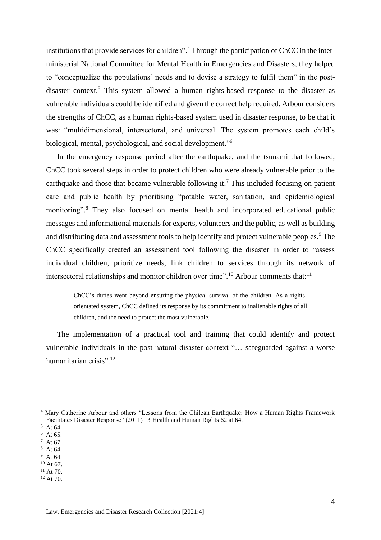institutions that provide services for children".<sup>4</sup> Through the participation of ChCC in the interministerial National Committee for Mental Health in Emergencies and Disasters, they helped to "conceptualize the populations' needs and to devise a strategy to fulfil them" in the postdisaster context.<sup>5</sup> This system allowed a human rights-based response to the disaster as vulnerable individuals could be identified and given the correct help required. Arbour considers the strengths of ChCC, as a human rights-based system used in disaster response, to be that it was: "multidimensional, intersectoral, and universal. The system promotes each child's biological, mental, psychological, and social development." 6

In the emergency response period after the earthquake, and the tsunami that followed, ChCC took several steps in order to protect children who were already vulnerable prior to the earthquake and those that became vulnerable following it.<sup>7</sup> This included focusing on patient care and public health by prioritising "potable water, sanitation, and epidemiological monitoring". <sup>8</sup> They also focused on mental health and incorporated educational public messages and informational materials for experts, volunteers and the public, as well as building and distributing data and assessment tools to help identify and protect vulnerable peoples.<sup>9</sup> The ChCC specifically created an assessment tool following the disaster in order to "assess individual children, prioritize needs, link children to services through its network of intersectoral relationships and monitor children over time".<sup>10</sup> Arbour comments that:<sup>11</sup>

ChCC's duties went beyond ensuring the physical survival of the children. As a rightsorientated system, ChCC defined its response by its commitment to inalienable rights of all children, and the need to protect the most vulnerable.

The implementation of a practical tool and training that could identify and protect vulnerable individuals in the post-natural disaster context "… safeguarded against a worse humanitarian crisis".<sup>12</sup>

- $8$  At 64.  $9$  At 64.
- $10$  At 67.
- $11$  At 70.
- $12$  At 70.

<sup>4</sup> Mary Catherine Arbour and others "Lessons from the Chilean Earthquake: How a Human Rights Framework Facilitates Disaster Response" (2011) 13 Health and Human Rights 62 at 64.

<sup>5</sup> At 64.

 $6$  At 65.

 $^7$  At 67.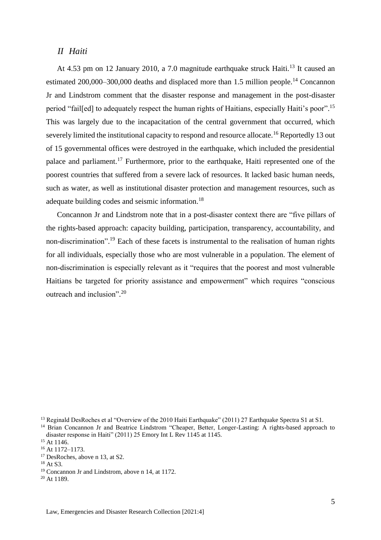#### <span id="page-4-0"></span>*II Haiti*

At 4.53 pm on 12 January 2010, a 7.0 magnitude earthquake struck Haiti.<sup>13</sup> It caused an estimated 200,000–300,000 deaths and displaced more than 1.5 million people.<sup>14</sup> Concannon Jr and Lindstrom comment that the disaster response and management in the post-disaster period "fail[ed] to adequately respect the human rights of Haitians, especially Haiti's poor".<sup>15</sup> This was largely due to the incapacitation of the central government that occurred, which severely limited the institutional capacity to respond and resource allocate.<sup>16</sup> Reportedly 13 out of 15 governmental offices were destroyed in the earthquake, which included the presidential palace and parliament.<sup>17</sup> Furthermore, prior to the earthquake, Haiti represented one of the poorest countries that suffered from a severe lack of resources. It lacked basic human needs, such as water, as well as institutional disaster protection and management resources, such as adequate building codes and seismic information.<sup>18</sup>

Concannon Jr and Lindstrom note that in a post-disaster context there are "five pillars of the rights-based approach: capacity building, participation, transparency, accountability, and non-discrimination". <sup>19</sup> Each of these facets is instrumental to the realisation of human rights for all individuals, especially those who are most vulnerable in a population. The element of non-discrimination is especially relevant as it "requires that the poorest and most vulnerable Haitians be targeted for priority assistance and empowerment" which requires "conscious outreach and inclusion".<sup>20</sup>

<sup>&</sup>lt;sup>13</sup> Reginald DesRoches et al "Overview of the 2010 Haiti Earthquake" (2011) 27 Earthquake Spectra S1 at S1.

<sup>&</sup>lt;sup>14</sup> Brian Concannon Jr and Beatrice Lindstrom "Cheaper, Better, Longer-Lasting: A rights-based approach to disaster response in Haiti" (2011) 25 Emory Int L Rev 1145 at 1145.

<sup>&</sup>lt;sup>15</sup> At 1146.

<sup>16</sup> At 1172–1173.

<sup>&</sup>lt;sup>17</sup> DesRoches, above n 13, at S2.

<sup>18</sup> At S3.

<sup>19</sup> Concannon Jr and Lindstrom, above n 14, at 1172.

<sup>&</sup>lt;sup>20</sup> At 1189.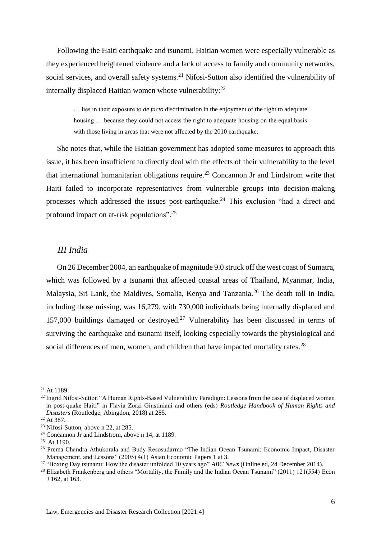Following the Haiti earthquake and tsunami, Haitian women were especially vulnerable as they experienced heightened violence and a lack of access to family and community networks, social services, and overall safety systems.<sup>21</sup> Nifosi-Sutton also identified the vulnerability of internally displaced Haitian women whose vulnerability:<sup>22</sup>

… lies in their exposure to *de facto* discrimination in the enjoyment of the right to adequate housing … because they could not access the right to adequate housing on the equal basis with those living in areas that were not affected by the 2010 earthquake.

She notes that, while the Haitian government has adopted some measures to approach this issue, it has been insufficient to directly deal with the effects of their vulnerability to the level that international humanitarian obligations require.<sup>23</sup> Concannon Jr and Lindstrom write that Haiti failed to incorporate representatives from vulnerable groups into decision-making processes which addressed the issues post-earthquake.<sup>24</sup> This exclusion "had a direct and profound impact on at-risk populations".<sup>25</sup>

#### <span id="page-5-0"></span>*III India*

On 26 December 2004, an earthquake of magnitude 9.0 struck off the west coast of Sumatra, which was followed by a tsunami that affected coastal areas of Thailand, Myanmar, India, Malaysia, Sri Lank, the Maldives, Somalia, Kenya and Tanzania.<sup>26</sup> The death toll in India, including those missing, was 16,279, with 730,000 individuals being internally displaced and 157,000 buildings damaged or destroyed.<sup>27</sup> Vulnerability has been discussed in terms of surviving the earthquake and tsunami itself, looking especially towards the physiological and social differences of men, women, and children that have impacted mortality rates.<sup>28</sup>

 $21$  At 1189.

<sup>&</sup>lt;sup>22</sup> Ingrid Nifosi-Sutton "A Human Rights-Based Vulnerability Paradigm: Lessons from the case of displaced women in post-quake Haiti" in Flavia Zorzi Giustiniani and others (eds) *Routledge Handbook of Human Rights and Disasters* (Routledge, Abingdon, 2018) at 285.

<sup>22</sup> At 387.

<sup>23</sup> Nifosi-Sutton, above n 22, at 285.

<sup>24</sup> Concannon Jr and Lindstrom, above n 14, at 1189.

 $25$  At 1190.

<sup>&</sup>lt;sup>26</sup> Prema-Chandra Athukorala and Budy Resosudarmo "The Indian Ocean Tsunami: Economic Impact, Disaster Management, and Lessons" (2005) 4(1) Asian Economic Papers 1 at 3.

<sup>27</sup> "Boxing Day tsunami: How the disaster unfolded 10 years ago" *ABC News* (Online ed, 24 December 2014).

<sup>&</sup>lt;sup>28</sup> Elizabeth Frankenberg and others "Mortality, the Family and the Indian Ocean Tsunami" (2011) 121(554) Econ J 162, at 163.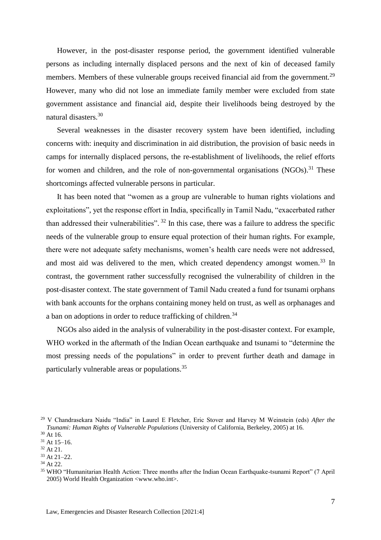However, in the post-disaster response period, the government identified vulnerable persons as including internally displaced persons and the next of kin of deceased family members. Members of these vulnerable groups received financial aid from the government.<sup>29</sup> However, many who did not lose an immediate family member were excluded from state government assistance and financial aid, despite their livelihoods being destroyed by the natural disasters.<sup>30</sup>

Several weaknesses in the disaster recovery system have been identified, including concerns with: inequity and discrimination in aid distribution, the provision of basic needs in camps for internally displaced persons, the re-establishment of livelihoods, the relief efforts for women and children, and the role of non-governmental organisations  $(NGOs)$ <sup>31</sup>. These shortcomings affected vulnerable persons in particular.

It has been noted that "women as a group are vulnerable to human rights violations and exploitations", yet the response effort in India, specifically in Tamil Nadu, "exacerbated rather than addressed their vulnerabilities".  $32$  In this case, there was a failure to address the specific needs of the vulnerable group to ensure equal protection of their human rights. For example, there were not adequate safety mechanisms, women's health care needs were not addressed, and most aid was delivered to the men, which created dependency amongst women.<sup>33</sup> In contrast, the government rather successfully recognised the vulnerability of children in the post-disaster context. The state government of Tamil Nadu created a fund for tsunami orphans with bank accounts for the orphans containing money held on trust, as well as orphanages and a ban on adoptions in order to reduce trafficking of children.<sup>34</sup>

NGOs also aided in the analysis of vulnerability in the post-disaster context. For example, WHO worked in the aftermath of the Indian Ocean earthquake and tsunami to "determine the most pressing needs of the populations" in order to prevent further death and damage in particularly vulnerable areas or populations.<sup>35</sup>

<sup>29</sup> V Chandrasekara Naidu "India" in Laurel E Fletcher, Eric Stover and Harvey M Weinstein (eds) *After the Tsunami: Human Rights of Vulnerable Populations* (University of California, Berkeley, 2005) at 16.

 $30$  At 16.

 $31$  At 15–16.

<sup>32</sup> At 21. <sup>33</sup> At 21–22.

<sup>34</sup> At 22.

<sup>35</sup> WHO "Humanitarian Health Action: Three months after the Indian Ocean Earthquake-tsunami Report" (7 April 2005) World Health Organization <www.who.int>.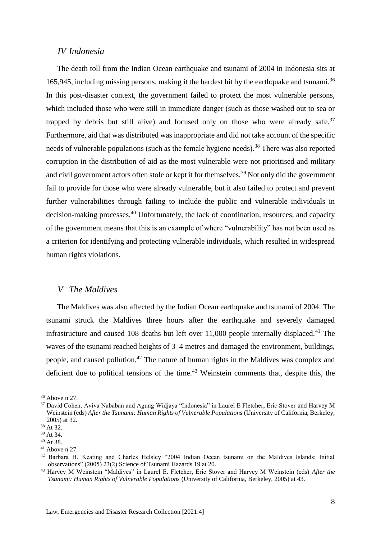#### <span id="page-7-0"></span>*IV Indonesia*

The death toll from the Indian Ocean earthquake and tsunami of 2004 in Indonesia sits at 165,945, including missing persons, making it the hardest hit by the earthquake and tsunami.<sup>36</sup> In this post-disaster context, the government failed to protect the most vulnerable persons, which included those who were still in immediate danger (such as those washed out to sea or trapped by debris but still alive) and focused only on those who were already safe. $37$ Furthermore, aid that was distributed was inappropriate and did not take account of the specific needs of vulnerable populations (such as the female hygiene needs).<sup>38</sup> There was also reported corruption in the distribution of aid as the most vulnerable were not prioritised and military and civil government actors often stole or kept it for themselves.<sup>39</sup> Not only did the government fail to provide for those who were already vulnerable, but it also failed to protect and prevent further vulnerabilities through failing to include the public and vulnerable individuals in decision-making processes.<sup>40</sup> Unfortunately, the lack of coordination, resources, and capacity of the government means that this is an example of where "vulnerability" has not been used as a criterion for identifying and protecting vulnerable individuals, which resulted in widespread human rights violations.

#### <span id="page-7-1"></span>*V The Maldives*

The Maldives was also affected by the Indian Ocean earthquake and tsunami of 2004. The tsunami struck the Maldives three hours after the earthquake and severely damaged infrastructure and caused 108 deaths but left over  $11,000$  people internally displaced.<sup>41</sup> The waves of the tsunami reached heights of 3–4 metres and damaged the environment, buildings, people, and caused pollution.<sup>42</sup> The nature of human rights in the Maldives was complex and deficient due to political tensions of the time. $43$  Weinstein comments that, despite this, the

<sup>36</sup> Above n 27.

<sup>37</sup> David Cohen, Aviva Nababan and Agung Widjaya "Indonesia" in Laurel E Fletcher, Eric Stover and Harvey M Weinstein (eds) *After the Tsunami: Human Rights of Vulnerable Populations* (University of California, Berkeley, 2005) at 32.

<sup>38</sup> At 32.

<sup>39</sup> At 34.

<sup>40</sup> At 38.

 $41$  Above n 27.

<sup>42</sup> Barbara H. Keating and Charles Helsley "2004 Indian Ocean tsunami on the Maldives Islands: Initial observations" (2005) 23(2) Science of Tsunami Hazards 19 at 20.

<sup>43</sup> Harvey M Weinstein "Maldives" in Laurel E. Fletcher, Eric Stover and Harvey M Weinstein (eds) *After the Tsunami: Human Rights of Vulnerable Populations* (University of California, Berkeley, 2005) at 43.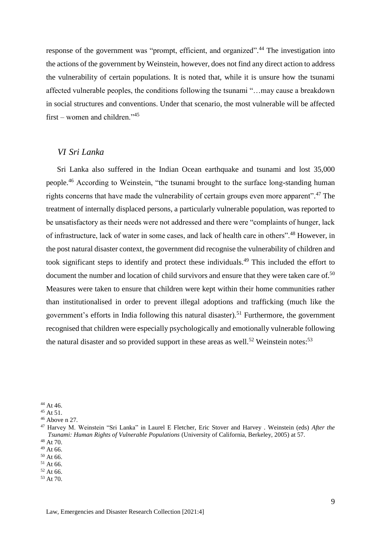response of the government was "prompt, efficient, and organized".<sup>44</sup> The investigation into the actions of the government by Weinstein, however, does not find any direct action to address the vulnerability of certain populations. It is noted that, while it is unsure how the tsunami affected vulnerable peoples, the conditions following the tsunami "…may cause a breakdown in social structures and conventions. Under that scenario, the most vulnerable will be affected first – women and children."<sup>45</sup>

#### <span id="page-8-0"></span>*VI Sri Lanka*

Sri Lanka also suffered in the Indian Ocean earthquake and tsunami and lost 35,000 people.<sup>46</sup> According to Weinstein, "the tsunami brought to the surface long-standing human rights concerns that have made the vulnerability of certain groups even more apparent".<sup>47</sup> The treatment of internally displaced persons, a particularly vulnerable population, was reported to be unsatisfactory as their needs were not addressed and there were "complaints of hunger, lack of infrastructure, lack of water in some cases, and lack of health care in others".<sup>48</sup> However, in the post natural disaster context, the government did recognise the vulnerability of children and took significant steps to identify and protect these individuals.<sup>49</sup> This included the effort to document the number and location of child survivors and ensure that they were taken care of.<sup>50</sup> Measures were taken to ensure that children were kept within their home communities rather than institutionalised in order to prevent illegal adoptions and trafficking (much like the government's efforts in India following this natural disaster).<sup>51</sup> Furthermore, the government recognised that children were especially psychologically and emotionally vulnerable following the natural disaster and so provided support in these areas as well.<sup>52</sup> Weinstein notes:<sup>53</sup>

 $51$  At 66.

<sup>53</sup> At 70.

<sup>44</sup> At 46.

<sup>45</sup> At 51.

<sup>46</sup> Above n 27.

<sup>47</sup> Harvey M. Weinstein "Sri Lanka" in Laurel E Fletcher, Eric Stover and Harvey . Weinstein (eds) *After the Tsunami: Human Rights of Vulnerable Populations* (University of California, Berkeley, 2005) at 57. <sup>48</sup> At 70.

<sup>49</sup> At 66.

 $50$  At 66.

<sup>52</sup> At 66.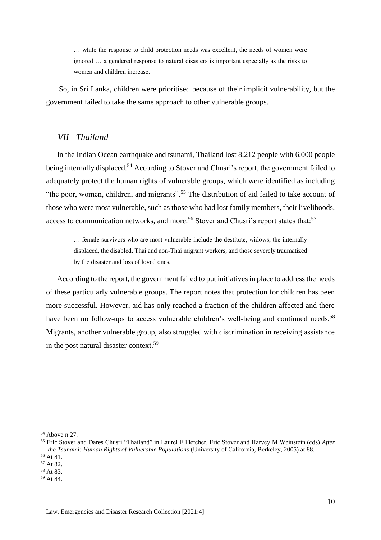… while the response to child protection needs was excellent, the needs of women were ignored … a gendered response to natural disasters is important especially as the risks to women and children increase.

So, in Sri Lanka, children were prioritised because of their implicit vulnerability, but the government failed to take the same approach to other vulnerable groups.

#### <span id="page-9-0"></span>*VII Thailand*

In the Indian Ocean earthquake and tsunami, Thailand lost 8,212 people with 6,000 people being internally displaced.<sup>54</sup> According to Stover and Chusri's report, the government failed to adequately protect the human rights of vulnerable groups, which were identified as including "the poor, women, children, and migrants".<sup>55</sup> The distribution of aid failed to take account of those who were most vulnerable, such as those who had lost family members, their livelihoods, access to communication networks, and more.<sup>56</sup> Stover and Chusri's report states that:<sup>57</sup>

… female survivors who are most vulnerable include the destitute, widows, the internally displaced, the disabled, Thai and non-Thai migrant workers, and those severely traumatized by the disaster and loss of loved ones.

According to the report, the government failed to put initiatives in place to address the needs of these particularly vulnerable groups. The report notes that protection for children has been more successful. However, aid has only reached a fraction of the children affected and there have been no follow-ups to access vulnerable children's well-being and continued needs.<sup>58</sup> Migrants, another vulnerable group, also struggled with discrimination in receiving assistance in the post natural disaster context.<sup>59</sup>

<sup>54</sup> Above n 27.

<sup>55</sup> Eric Stover and Dares Chusri "Thailand" in Laurel E Fletcher, Eric Stover and Harvey M Weinstein (eds) *After the Tsunami: Human Rights of Vulnerable Populations* (University of California, Berkeley, 2005) at 88. <sup>56</sup> At 81.

<sup>57</sup> At 82.

<sup>58</sup> At 83.

<sup>59</sup> At 84.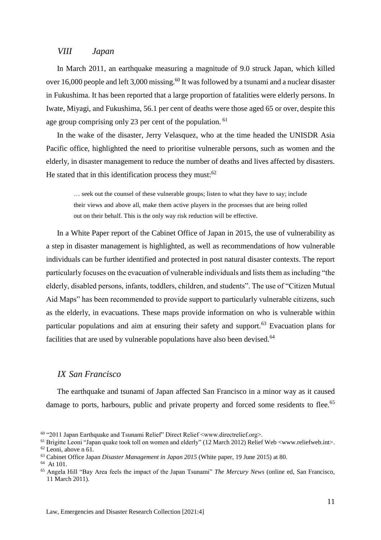#### <span id="page-10-0"></span>*VIII Japan*

In March 2011, an earthquake measuring a magnitude of 9.0 struck Japan, which killed over 16,000 people and left 3,000 missing.<sup>60</sup> It was followed by a tsunami and a nuclear disaster in Fukushima. It has been reported that a large proportion of fatalities were elderly persons. In Iwate, Miyagi, and Fukushima, 56.1 per cent of deaths were those aged 65 or over, despite this age group comprising only 23 per cent of the population. <sup>61</sup>

In the wake of the disaster, Jerry Velasquez, who at the time headed the UNISDR Asia Pacific office, highlighted the need to prioritise vulnerable persons, such as women and the elderly, in disaster management to reduce the number of deaths and lives affected by disasters. He stated that in this identification process they must: $62$ 

… seek out the counsel of these vulnerable groups; listen to what they have to say; include their views and above all, make them active players in the processes that are being rolled out on their behalf. This is the only way risk reduction will be effective.

In a White Paper report of the Cabinet Office of Japan in 2015, the use of vulnerability as a step in disaster management is highlighted, as well as recommendations of how vulnerable individuals can be further identified and protected in post natural disaster contexts. The report particularly focuses on the evacuation of vulnerable individuals and lists them as including "the elderly, disabled persons, infants, toddlers, children, and students". The use of "Citizen Mutual Aid Maps" has been recommended to provide support to particularly vulnerable citizens, such as the elderly, in evacuations. These maps provide information on who is vulnerable within particular populations and aim at ensuring their safety and support.<sup>63</sup> Evacuation plans for facilities that are used by vulnerable populations have also been devised.<sup>64</sup>

#### <span id="page-10-1"></span>*IX San Francisco*

The earthquake and tsunami of Japan affected San Francisco in a minor way as it caused damage to ports, harbours, public and private property and forced some residents to flee.<sup>65</sup>

<sup>60</sup> "2011 Japan Earthquake and Tsunami Relief" Direct Relief <www.directrelief.org>.

<sup>61</sup> Brigitte Leoni "Japan quake took toll on women and elderly" (12 March 2012) Relief Web [<www.reliefweb.int>](http://www.reliefweb.int/). <sup>62</sup> Leoni, above n 61.

<sup>63</sup> Cabinet Office Japan *Disaster Management in Japan 2015* (White paper, 19 June 2015) at 80.

<sup>64</sup> At 101.

<sup>65</sup> Angela Hill "Bay Area feels the impact of the Japan Tsunami" *The Mercury News* (online ed, San Francisco, 11 March 2011).